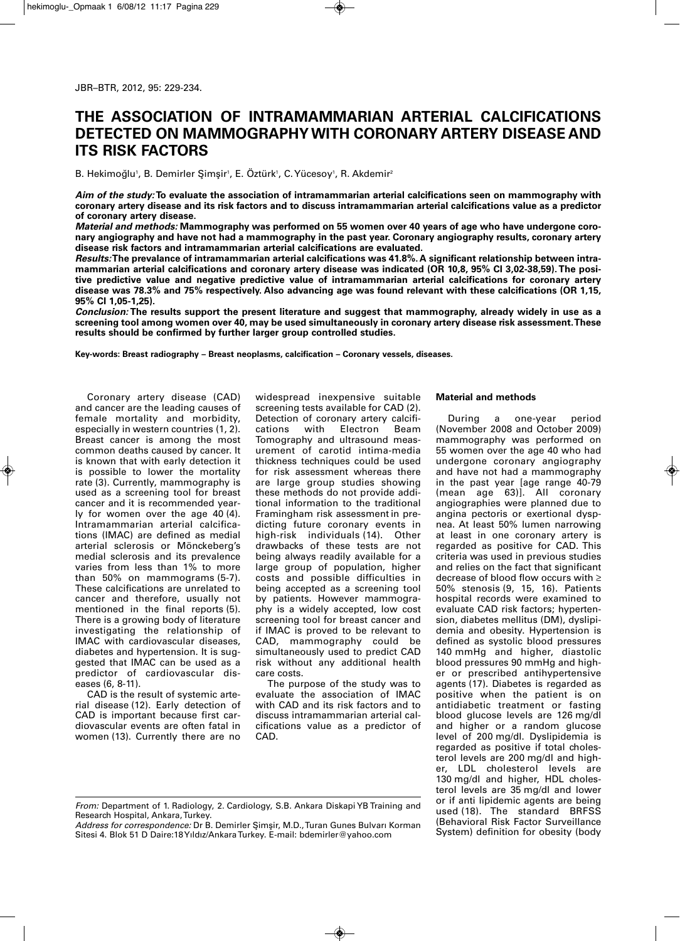# **THE ASSOCIATION OF INTRAMAMMARIAN ARTERIAL CALCIFICATIONS DETECTED ON MAMMOGRAPHYWITH CORONARY ARTERY DISEASE AND ITS RISK FACTORS**

B. Hekimoğlu', B. Demirler Şimşir', E. Oztürk', C. Yücesoy', R. Akdemir $^{\circ}$ 

*Aim of the study:* **To evaluate the association of intramammarian arterial calcifications seen on mammography with** coronary artery disease and its risk factors and to discuss intramammarian arterial calcifications value as a predictor **of coronary artery disease.**

Material and methods: Mammography was performed on 55 women over 40 years of age who have undergone coronary angiography and have not had a mammography in the past year. Coronary angiography results, coronary artery **disease risk factors and intramammarian arterial calcifications are evaluated.**

*Results:***The prevalance of intramammarian arterial calcifications was 41.8%. A significant relationship between intra**mammarian arterial calcifications and coronary artery disease was indicated (OR 10,8, 95% CI 3,02-38,59). The posi**tive predictive value and negative predictive value of intramammarian arterial calcifications for coronary artery** disease was 78.3% and 75% respectively. Also advancing age was found relevant with these calcifications (OR 1,15, **95% CI 1,05-1,25).**

Conclusion: The results support the present literature and suggest that mammography, already widely in use as a **screening tool among women over 40, may be used simultaneously in coronary artery disease risk assessment.These results should be confirmed by further larger group controlled studies.**

**Key-words: Breast radiography – Breast neoplasms, calcification – Coronary vessels, diseases.**

Coronary artery disease (CAD) and cancer are the leading causes of female mortality and morbidity, especially in western countries (1, 2). Breast cancer is among the most common deaths caused by cancer. It is known that with early detection it is possible to lower the mortality rate (3). Currently, mammography is used as a screening tool for breast cancer and it is recommended yearly for women over the age 40 (4). Intramammarian arterial calcifications (IMAC) are defined as medial arterial sclerosis or Mönckeberg's medial sclerosis and its prevalence varies from less than 1% to more than 50% on mammograms (5-7). These calcifications are unrelated to cancer and therefore, usually not mentioned in the final reports (5). There is a growing body of literature investigating the relationship of IMAC with cardiovascular diseases, diabetes and hypertension. It is suggested that IMAC can be used as a predictor of cardiovascular diseases (6, 8-11).

CAD is the result of systemic arterial disease (12). Early detection of CAD is important because first cardiovascular events are often fatal in women (13). Currently there are no

widespread inexpensive suitable screening tests available for CAD (2). Detection of coronary artery calcifi-<br>cations with Electron Beam Electron Tomography and ultrasound measurement of carotid intima-media thickness techniques could be used for risk assessment whereas there are large group studies showing these methods do not provide additional information to the traditional Framingham risk assessment in predicting future coronary events in high-risk individuals (14). Other drawbacks of these tests are not being always readily available for a large group of population, higher costs and possible difficulties in being accepted as a screening tool by patients. However mammography is a widely accepted, low cost screening tool for breast cancer and if IMAC is proved to be relevant to CAD, mammography could be simultaneously used to predict CAD risk without any additional health care costs.

The purpose of the study was to evaluate the association of IMAC with CAD and its risk factors and to discuss intramammarian arterial calcifications value as a predictor of CAD.

# **Material and methods**

During a one-year period (November 2008 and October 2009) mammography was performed on 55 women over the age 40 who had undergone coronary angiography and have not had a mammography in the past year [age range 40-79 (mean age 63)]. All coronary angiographies were planned due to angina pectoris or exertional dyspnea. At least 50% lumen narrowing at least in one coronary artery is regarded as positive for CAD. This criteria was used in previous studies and relies on the fact that significant decrease of blood flow occurs with ≥ 50% stenosis (9, 15, 16). Patients hospital records were examined to evaluate CAD risk factors; hypertension, diabetes mellitus (DM), dyslipidemia and obesity. Hypertension is defined as systolic blood pressures 140 mmHg and higher, diastolic blood pressures 90 mmHg and higher or prescribed antihypertensive agents (17). Diabetes is regarded as positive when the patient is on antidiabetic treatment or fasting blood glucose levels are 126 mg/dl and higher or a random glucose level of 200 mg/dl. Dyslipidemia is regarded as positive if total cholesterol levels are 200 mg/dl and higher, LDL cholesterol levels are 130 mg/dl and higher, HDL cholesterol levels are 35 mg/dl and lower or if anti lipidemic agents are being used (18). The standard BRFSS (Behavioral Risk Factor Surveillance System) definition for obesity (body

*From:* Department of 1. Radiology, 2. Cardiology, S.B. Ankara Diskapi YB Training and Research Hospital, Ankara, Turkey.

*Address for correspondence:* Dr B. Demirler Simsir, M.D., Turan Gunes Bulvarı Korman Sitesi 4. Blok 51 D Daire:18Yıldız/AnkaraTurkey. E-mail: bdemirler@yahoo.com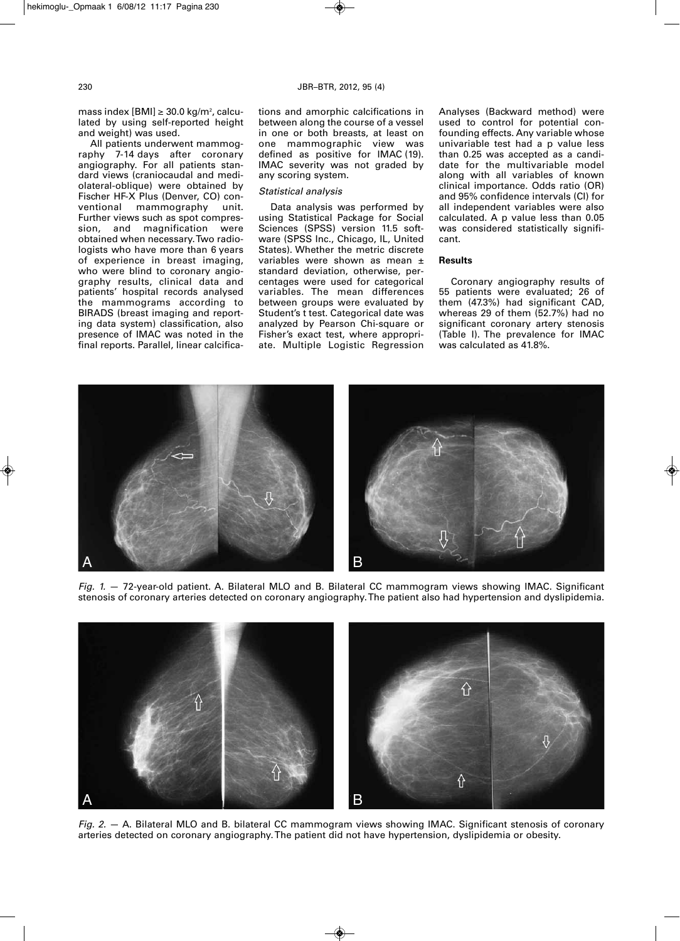mass index  $[BMI] \geq 30.0$  kg/m<sup>2</sup>, calculated by using self-reported height and weight) was used.

All patients underwent mammography 7-14 days after coronary angiography. For all patients standard views (craniocaudal and mediolateral-oblique) were obtained by Fischer HF-X Plus (Denver, CO) conventional mammography unit. Further views such as spot compression, and magnification were obtained when necessary.Two radiologists who have more than 6 years of experience in breast imaging, who were blind to coronary angiography results, clinical data and patients' hospital records analysed the mammograms according to BIRADS (breast imaging and reporting data system) classification, also presence of IMAC was noted in the final reports. Parallel, linear calcifications and amorphic calcifications in between along the course of a vessel in one or both breasts, at least on one mammographic view was defined as positive for IMAC (19). IMAC severity was not graded by any scoring system.

### *Statistical analysis*

Data analysis was performed by using Statistical Package for Social Sciences (SPSS) version 11.5 software (SPSS Inc., Chicago, IL, United States). Whether the metric discrete variables were shown as mean ± standard deviation, otherwise, percentages were used for categorical variables. The mean differences between groups were evaluated by Student's t test. Categorical date was analyzed by Pearson Chi-square or Fisher's exact test, where appropriate. Multiple Logistic Regression Analyses (Backward method) were used to control for potential confounding effects. Any variable whose univariable test had a p value less than 0.25 was accepted as a candidate for the multivariable model along with all variables of known clinical importance. Odds ratio (OR) and 95% confidence intervals (CI) for all independent variables were also calculated. A p value less than 0.05 was considered statistically significant.

# **Results**

Coronary angiography results of 55 patients were evaluated; 26 of them (47.3%) had significant CAD, whereas 29 of them (52.7%) had no significant coronary artery stenosis (Table I). The prevalence for IMAC was calculated as 41.8%.



*Fig. 1.* — 72-year-old patient. A. Bilateral MLO and B. Bilateral CC mammogram views showing IMAC. Significant stenosis of coronary arteries detected on coronary angiography.The patient also had hypertension and dyslipidemia.



*Fig. 2.* — A. Bilateral MLO and B. bilateral CC mammogram views showing IMAC. Significant stenosis of coronary arteries detected on coronary angiography.The patient did not have hypertension, dyslipidemia or obesity.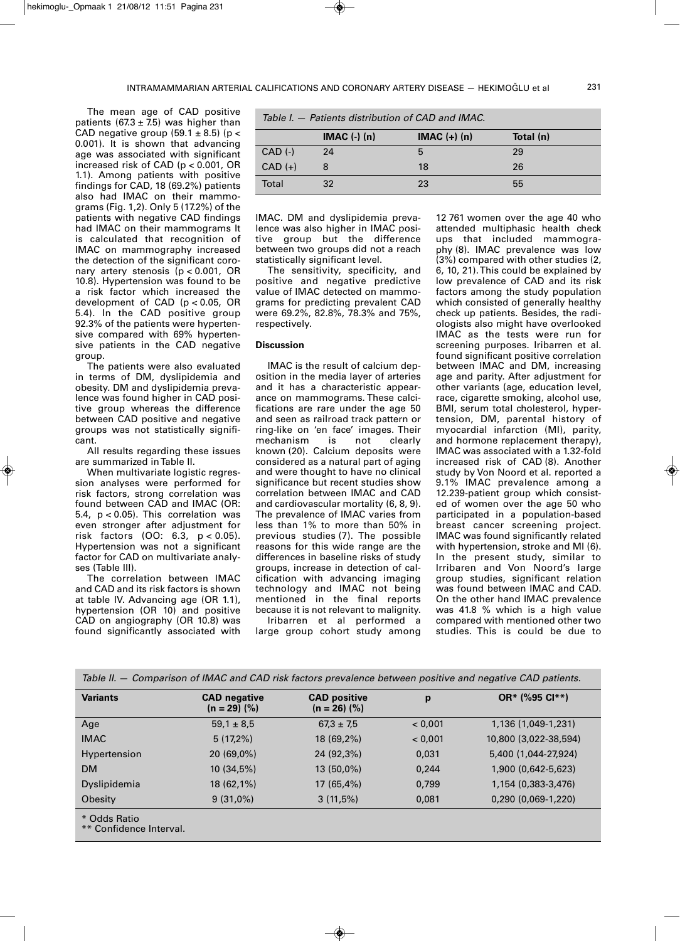The mean age of CAD positive patients (67.3  $\pm$  7.5) was higher than CAD negative group (59.1  $\pm$  8.5) (p < 0.001). It is shown that advancing age was associated with significant increased risk of CAD (p < 0.001, OR 1.1). Among patients with positive findings for CAD, 18 (69.2%) patients also had IMAC on their mammograms (Fig. 1,2). Only 5 (17.2%) of the patients with negative CAD findings had IMAC on their mammograms It is calculated that recognition of IMAC on mammography increased the detection of the significant coronary artery stenosis (p < 0.001, OR 10.8). Hypertension was found to be a risk factor which increased the development of CAD (p < 0.05, OR 5.4). In the CAD positive group 92.3% of the patients were hypertensive compared with 69% hypertensive patients in the CAD negative group.

The patients were also evaluated in terms of DM, dyslipidemia and obesity. DM and dyslipidemia prevalence was found higher in CAD positive group whereas the difference between CAD positive and negative groups was not statistically significant.

All results regarding these issues are summarized in Table II.

When multivariate logistic regression analyses were performed for risk factors, strong correlation was found between CAD and IMAC (OR: 5.4,  $p < 0.05$ ). This correlation was even stronger after adjustment for risk factors (OO: 6.3, p < 0.05). Hypertension was not a significant factor for CAD on multivariate analyses (Table III).

The correlation between IMAC and CAD and its risk factors is shown at table IV. Advancing age (OR 1.1), hypertension (OR 10) and positive CAD on angiography (OR 10.8) was found significantly associated with

|  | Table I. – Patients distribution of CAD and IMAC. |  |  |
|--|---------------------------------------------------|--|--|
|  |                                                   |  |  |

|             | $IMAC$ $(-)$ $(n)$ | $IMAC (+) (n)$ | Total (n) |
|-------------|--------------------|----------------|-----------|
| $CAD$ $(-)$ | 24                 | 5              | 29        |
| $CAD (+)$   |                    | 18             | 26        |
| Total       | 32                 | 23             | 55        |

IMAC. DM and dyslipidemia prevalence was also higher in IMAC positive group but the difference between two groups did not a reach statistically significant level.

The sensitivity, specificity, and positive and negative predictive value of IMAC detected on mammograms for predicting prevalent CAD were 69.2%, 82.8%, 78.3% and 75%, respectively.

## **Discussion**

IMAC is the result of calcium deposition in the media layer of arteries and it has a characteristic appearance on mammograms. These calcifications are rare under the age 50 and seen as railroad track pattern or ring-like on 'en face' images. Their mechanism is not clearly known (20). Calcium deposits were considered as a natural part of aging and were thought to have no clinical significance but recent studies show correlation between IMAC and CAD and cardiovascular mortality (6, 8, 9). The prevalence of IMAC varies from less than 1% to more than 50% in previous studies (7). The possible reasons for this wide range are the differences in baseline risks of study groups, increase in detection of calcification with advancing imaging technology and IMAC not being mentioned in the final reports because it is not relevant to malignity. Iribarren et al performed a

large group cohort study among

12 761 women over the age 40 who attended multiphasic health check ups that included mammography (8). IMAC prevalence was low (3%) compared with other studies (2, 6, 10, 21). This could be explained by low prevalence of CAD and its risk factors among the study population which consisted of generally healthy check up patients. Besides, the radiologists also might have overlooked IMAC as the tests were run for screening purposes. Iribarren et al. found significant positive correlation between IMAC and DM, increasing age and parity. After adjustment for other variants (age, education level, race, cigarette smoking, alcohol use, BMI, serum total cholesterol, hypertension, DM, parental history of myocardial infarction (MI), parity, and hormone replacement therapy), IMAC was associated with a 1.32-fold increased risk of CAD (8). Another study by Von Noord et al. reported a 9.1% IMAC prevalence among a 12.239-patient group which consisted of women over the age 50 who participated in a population-based breast cancer screening project. IMAC was found significantly related with hypertension, stroke and MI (6). In the present study, similar to Irribaren and Von Noord's large group studies, significant relation was found between IMAC and CAD. On the other hand IMAC prevalence was 41.8 % which is a high value compared with mentioned other two studies. This is could be due to

| <b>Variants</b> | <b>CAD</b> negative<br>$(n = 29)$ (%) | <b>CAD positive</b><br>$(n = 26)$ $\binom{9}{6}$ | p       | OR* (%95 Cl**)        |
|-----------------|---------------------------------------|--------------------------------------------------|---------|-----------------------|
| Age             | $59.1 \pm 8.5$                        | $67.3 \pm 7.5$                                   | < 0.001 | 1,136 (1,049-1,231)   |
| <b>IMAC</b>     | $5(17,2\%)$                           | 18 (69,2%)                                       | < 0.001 | 10,800 (3,022-38,594) |
| Hypertension    | $20(69,0\%)$                          | 24 (92,3%)                                       | 0,031   | 5,400 (1,044-27,924)  |
| <b>DM</b>       | 10(34,5%)                             | $13(50,0\%)$                                     | 0.244   | 1,900 (0,642-5,623)   |
| Dyslipidemia    | $18(62,1\%)$                          | 17(65,4%)                                        | 0,799   | 1,154 (0,383-3,476)   |
| Obesity         | $9(31,0\%)$                           | 3(11,5%)                                         | 0,081   | 0,290 (0,069-1,220)   |

\*\* Confidence Interval.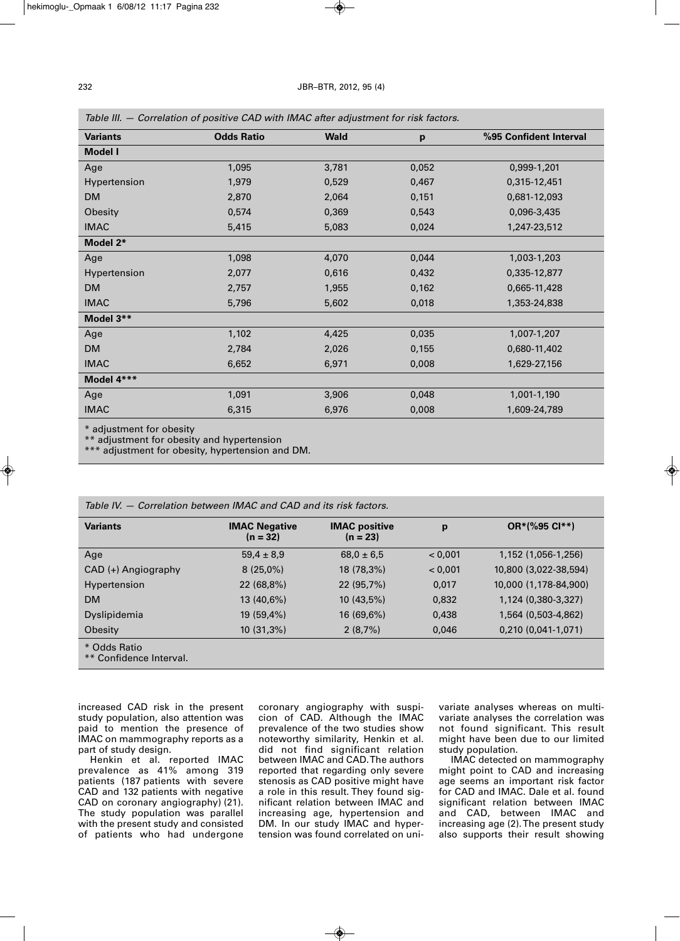| Table III. — Correlation of positive CAD with IWAC after adjustment for risk factors. |                   |             |       |                        |  |
|---------------------------------------------------------------------------------------|-------------------|-------------|-------|------------------------|--|
| <b>Variants</b>                                                                       | <b>Odds Ratio</b> | <b>Wald</b> | p     | %95 Confident Interval |  |
| <b>Model I</b>                                                                        |                   |             |       |                        |  |
| Age                                                                                   | 1,095             | 3,781       | 0,052 | 0,999-1,201            |  |
| Hypertension                                                                          | 1,979             | 0,529       | 0,467 | 0,315-12,451           |  |
| <b>DM</b>                                                                             | 2,870             | 2,064       | 0,151 | 0,681-12,093           |  |
| Obesity                                                                               | 0,574             | 0,369       | 0,543 | 0,096-3,435            |  |
| <b>IMAC</b>                                                                           | 5,415             | 5,083       | 0,024 | 1,247-23,512           |  |
| Model 2*                                                                              |                   |             |       |                        |  |
| Age                                                                                   | 1,098             | 4,070       | 0,044 | 1,003-1,203            |  |
| Hypertension                                                                          | 2,077             | 0,616       | 0,432 | 0,335-12,877           |  |
| <b>DM</b>                                                                             | 2,757             | 1,955       | 0,162 | 0,665-11,428           |  |
| <b>IMAC</b>                                                                           | 5,796             | 5,602       | 0,018 | 1,353-24,838           |  |
| Model 3**                                                                             |                   |             |       |                        |  |
| Age                                                                                   | 1,102             | 4,425       | 0,035 | 1,007-1,207            |  |
| <b>DM</b>                                                                             | 2,784             | 2,026       | 0,155 | 0,680-11,402           |  |
| <b>IMAC</b>                                                                           | 6,652             | 6,971       | 0,008 | 1,629-27,156           |  |
| Model 4***                                                                            |                   |             |       |                        |  |
| Age                                                                                   | 1,091             | 3,906       | 0,048 | 1,001-1,190            |  |
| <b>IMAC</b>                                                                           | 6,315             | 6,976       | 0,008 | 1,609-24,789           |  |
|                                                                                       |                   |             |       |                        |  |

*Table III. — Correlation of positive CAD with IMAC after adjustment for risk factors.*

\* adjustment for obesity

\*\* adjustment for obesity and hypertension

\*\*\* adjustment for obesity, hypertension and DM.

| Table IV. – Correlation between IMAC and CAD and its risk factors. |                                    |                                    |         |                       |  |
|--------------------------------------------------------------------|------------------------------------|------------------------------------|---------|-----------------------|--|
| <b>Variants</b>                                                    | <b>IMAC Negative</b><br>$(n = 32)$ | <b>IMAC</b> positive<br>$(n = 23)$ | p       | OR*(%95 Cl**)         |  |
| Age                                                                | $59.4 \pm 8.9$                     | $68.0 \pm 6.5$                     | < 0.001 | 1,152 (1,056-1,256)   |  |
| $CAD$ $(+)$ Angiography                                            | $8(25,0\%)$                        | 18 (78,3%)                         | < 0.001 | 10,800 (3,022-38,594) |  |
| Hypertension                                                       | 22 (68,8%)                         | 22(95,7%)                          | 0.017   | 10,000 (1,178-84,900) |  |
| <b>DM</b>                                                          | 13 (40,6%)                         | $10(43,5\%)$                       | 0,832   | 1,124 (0,380-3,327)   |  |
| Dyslipidemia                                                       | 19 (59,4%)                         | $16(69,6\%)$                       | 0.438   | 1.564 (0.503-4.862)   |  |
| Obesity                                                            | $10(31,3\%)$                       | 2(8,7%)                            | 0,046   | 0,210 (0,041-1,071)   |  |
| * Odds Ratio<br>** Confidence Interval.                            |                                    |                                    |         |                       |  |

increased CAD risk in the present study population, also attention was paid to mention the presence of IMAC on mammography reports as a part of study design.

Henkin et al. reported IMAC prevalence as 41% among 319 patients (187 patients with severe CAD and 132 patients with negative CAD on coronary angiography) (21). The study population was parallel with the present study and consisted of patients who had undergone

coronary angiography with suspicion of CAD. Although the IMAC prevalence of the two studies show noteworthy similarity, Henkin et al. did not find significant relation between IMAC and CAD.The authors reported that regarding only severe stenosis as CAD positive might have a role in this result. They found significant relation between IMAC and increasing age, hypertension and DM. In our study IMAC and hypertension was found correlated on univariate analyses whereas on multivariate analyses the correlation was not found significant. This result might have been due to our limited study population.

IMAC detected on mammography might point to CAD and increasing age seems an important risk factor for CAD and IMAC. Dale et al. found significant relation between IMAC and CAD, between IMAC and increasing age (2).The present study also supports their result showing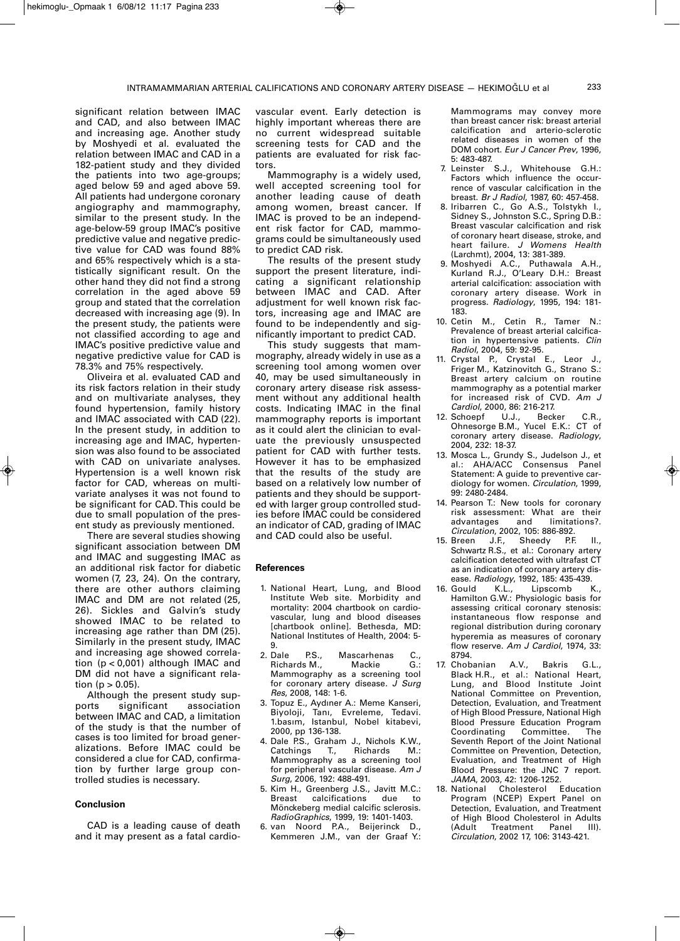significant relation between IMAC and CAD, and also between IMAC and increasing age. Another study by Moshyedi et al. evaluated the relation between IMAC and CAD in a 182-patient study and they divided the patients into two age-groups; aged below 59 and aged above 59. All patients had undergone coronary angiography and mammography, similar to the present study. In the age-below-59 group IMAC's positive predictive value and negative predictive value for CAD was found 88% and 65% respectively which is a statistically significant result. On the other hand they did not find a strong correlation in the aged above 59 group and stated that the correlation decreased with increasing age (9). In the present study, the patients were not classified according to age and IMAC's positive predictive value and negative predictive value for CAD is 78.3% and 75% respectively.

Oliveira et al. evaluated CAD and its risk factors relation in their study and on multivariate analyses, they found hypertension, family history and IMAC associated with CAD (22). In the present study, in addition to increasing age and IMAC, hypertension was also found to be associated with CAD on univariate analyses. Hypertension is a well known risk factor for CAD, whereas on multivariate analyses it was not found to be significant for CAD.This could be due to small population of the present study as previously mentioned.

There are several studies showing significant association between DM and IMAC and suggesting IMAC as an additional risk factor for diabetic women (7, 23, 24). On the contrary, there are other authors claiming IMAC and DM are not related (25, 26). Sickles and Galvin's study showed IMAC to be related to increasing age rather than DM (25). Similarly in the present study, IMAC and increasing age showed correlation (p < 0,001) although IMAC and DM did not have a significant relation ( $p > 0.05$ ).

Although the present study supports significant association between IMAC and CAD, a limitation of the study is that the number of cases is too limited for broad generalizations. Before IMAC could be considered a clue for CAD, confirmation by further large group controlled studies is necessary.

#### **Conclusion**

CAD is a leading cause of death and it may present as a fatal cardio-

vascular event. Early detection is highly important whereas there are no current widespread suitable screening tests for CAD and the patients are evaluated for risk factors.

Mammography is a widely used, well accepted screening tool for another leading cause of death among women, breast cancer. If IMAC is proved to be an independent risk factor for CAD, mammograms could be simultaneously used to predict CAD risk.

The results of the present study support the present literature, indicating a significant relationship between IMAC and CAD. After adjustment for well known risk factors, increasing age and IMAC are found to be independently and significantly important to predict CAD.

This study suggests that mammography, already widely in use as a screening tool among women over 40, may be used simultaneously in coronary artery disease risk assessment without any additional health costs. Indicating IMAC in the final mammography reports is important as it could alert the clinician to evaluate the previously unsuspected patient for CAD with further tests. However it has to be emphasized that the results of the study are based on a relatively low number of patients and they should be supported with larger group controlled studies before IMAC could be considered an indicator of CAD, grading of IMAC and CAD could also be useful.

#### **References**

- 1. National Heart, Lung, and Blood Institute Web site. Morbidity and mortality: 2004 chartbook on cardiovascular, lung and blood diseases [chartbook online]. Bethesda, MD: National Institutes of Health, 2004: 5-
- 9.<br>2. Dale P.S., Mascarhenas C., Richards M., Mackie G.: Mammography as a screening tool for coronary artery disease*. J Surg Res*, 2008, 148: 1-6.
- 3. Topuz E., Aydıner A.: Meme Kanseri, Biyoloji, Tanı, Evreleme, Tedavi. 1.basım, Istanbul, Nobel kitabevi, 2000, pp 136-138.
- 4. Dale P.S., Graham J., Nichols K.W.,<br>Catchings T., Richards M.: Catchings T., Richards M.: Mammography as a screening tool for peripheral vascular disease. *Am J Surg*, 2006, 192: 488-491.
- 5. Kim H., Greenberg J.S., Javitt M.C.: Breast calcifications due to Mönckeberg medial calcific sclerosis. *RadioGraphics*, 1999, 19: 1401-1403.
- 6. van Noord P.A., Beijerinck D., Kemmeren J.M., van der Graaf Y.:

Mammograms may convey more than breast cancer risk: breast arterial calcification and arterio-sclerotic related diseases in women of the DOM cohort. *Eur J Cancer Prev*, 1996, 5: 483-487.

- 7. Leinster S.J., Whitehouse G.H.: Factors which influence the occurrence of vascular calcification in the breast. *Br J Radiol*, 1987, 60: 457-458.
- 8. Iribarren C., Go A.S., Tolstykh I., Sidney S., Johnston S.C., Spring D.B.: Breast vascular calcification and risk of coronary heart disease, stroke, and heart failure. *J Womens Health* (Larchmt), 2004, 13: 381-389.
- 9. Moshyedi A.C., Puthawala A.H., Kurland R.J., O'Leary D.H.: Breast arterial calcification: association with coronary artery disease. Work in progress. *Radiology*, 1995, 194: 181- 183.
- 10. Cetin M., Cetin R., Tamer N.: Prevalence of breast arterial calcification in hypertensive patients. *Clin Radiol*, 2004, 59: 92-95.
- 11. Crystal P., Crystal E., Leor J., Friger M., Katzinovitch G., Strano S.: Breast artery calcium on routine mammography as a potential marker for increased risk of CVD. *Am J Cardiol*, 2000, 86: 216-217.
- 12. Schoepf U.J., Becker C.R., Ohnesorge B.M., Yucel E.K.: CT of coronary artery disease. *Radiology*, 2004, 232: 18-37.
- 13. Mosca L., Grundy S., Judelson J., et al.: AHA/ACC Consensus Panel Statement: A guide to preventive cardiology for women. *Circulation*, 1999, 99: 2480-2484.
- 14. Pearson T.: New tools for coronary risk assessment: What are their advantages and limitations?. *Circulation*, 2002, 105: 886-892.
- 15. Breen J.F., Schwartz R.S., et al.: Coronary artery calcification detected with ultrafast CT as an indication of coronary artery disease. *Radiology*, 1992, 185: 435-439.<br>16. Gould K.L., Linscomb K
- 16. Gould K.L., Lipscomb K., Hamilton G.W.: Physiologic basis for assessing critical coronary stenosis: instantaneous flow response and regional distribution during coronary hyperemia as measures of coronary flow reserve. *Am J Cardiol*, 1974, 33: 8794.
- 17. Chobanian A.V., Bakris G.L., Black H.R., et al.: National Heart, Lung, and Blood Institute Joint National Committee on Prevention, Detection, Evaluation, and Treatment of High Blood Pressure, National High Blood Pressure Education Program<br>Coordinating Committee. The Coordinating Committee*.* The Seventh Report of the Joint National Committee on Prevention, Detection, Evaluation, and Treatment of High Blood Pressure: the JNC 7 report. *JAMA*, 2003, 42: 1206-1252.
- Cholesterol Education Program (NCEP) Expert Panel on Detection, Evaluation, and Treatment of High Blood Cholesterol in Adults (Adult Treatment Panel III). *Circulation*, 2002 17, 106: 3143-421.